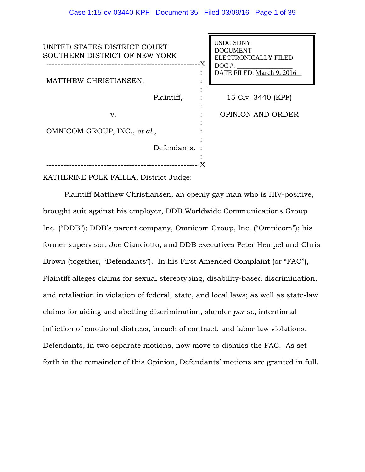| UNITED STATES DISTRICT COURT<br>SOUTHERN DISTRICT OF NEW YORK | -X | <b>USDC SDNY</b><br><b>DOCUMENT</b><br><b>ELECTRONICALLY FILED</b> |
|---------------------------------------------------------------|----|--------------------------------------------------------------------|
| MATTHEW CHRISTIANSEN,                                         |    | $DOC$ #:<br>DATE FILED: March 9, 2016                              |
| Plaintiff,                                                    |    | 15 Civ. 3440 (KPF)                                                 |
| v.                                                            |    | <b>OPINION AND ORDER</b>                                           |
| OMNICOM GROUP, INC., et al.,                                  |    |                                                                    |
| Defendants. :                                                 |    |                                                                    |
|                                                               |    |                                                                    |

KATHERINE POLK FAILLA, District Judge:

Plaintiff Matthew Christiansen, an openly gay man who is HIV-positive, brought suit against his employer, DDB Worldwide Communications Group Inc. ("DDB"); DDB's parent company, Omnicom Group, Inc. ("Omnicom"); his former supervisor, Joe Cianciotto; and DDB executives Peter Hempel and Chris Brown (together, "Defendants"). In his First Amended Complaint (or "FAC"), Plaintiff alleges claims for sexual stereotyping, disability-based discrimination, and retaliation in violation of federal, state, and local laws; as well as state-law claims for aiding and abetting discrimination, slander *per se*, intentional infliction of emotional distress, breach of contract, and labor law violations. Defendants, in two separate motions, now move to dismiss the FAC. As set forth in the remainder of this Opinion, Defendants' motions are granted in full.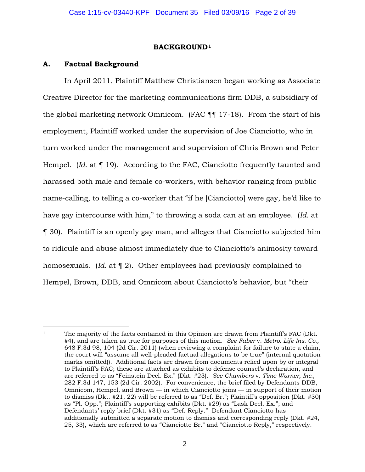## **BACKGROUND1**

## **A. Factual Background**

In April 2011, Plaintiff Matthew Christiansen began working as Associate Creative Director for the marketing communications firm DDB, a subsidiary of the global marketing network Omnicom. (FAC ¶¶ 17-18). From the start of his employment, Plaintiff worked under the supervision of Joe Cianciotto, who in turn worked under the management and supervision of Chris Brown and Peter Hempel. (*Id.* at ¶ 19). According to the FAC, Cianciotto frequently taunted and harassed both male and female co-workers, with behavior ranging from public name-calling, to telling a co-worker that "if he [Cianciotto] were gay, he'd like to have gay intercourse with him," to throwing a soda can at an employee. (*Id.* at ¶ 30). Plaintiff is an openly gay man, and alleges that Cianciotto subjected him to ridicule and abuse almost immediately due to Cianciotto's animosity toward homosexuals. (*Id.* at ¶ 2). Other employees had previously complained to Hempel, Brown, DDB, and Omnicom about Cianciotto's behavior, but "their

 $\overline{a}$ <sup>1</sup> The majority of the facts contained in this Opinion are drawn from Plaintiff's FAC (Dkt. #4), and are taken as true for purposes of this motion. *See Faber* v. *Metro. Life Ins. Co.,* 648 F.3d 98, 104 (2d Cir. 2011) (when reviewing a complaint for failure to state a claim, the court will "assume all well-pleaded factual allegations to be true" (internal quotation marks omitted)). Additional facts are drawn from documents relied upon by or integral to Plaintiff's FAC; these are attached as exhibits to defense counsel's declaration, and are referred to as "Feinstein Decl. Ex." (Dkt. #23). *See Chambers* v. *Time Warner, Inc.*, 282 F.3d 147, 153 (2d Cir. 2002). For convenience, the brief filed by Defendants DDB, Omnicom, Hempel, and Brown — in which Cianciotto joins — in support of their motion to dismiss (Dkt. #21, 22) will be referred to as "Def. Br."; Plaintiff's opposition (Dkt. #30) as "Pl. Opp."; Plaintiff's supporting exhibits (Dkt. #29) as "Lask Decl. Ex."; and Defendants' reply brief (Dkt. #31) as "Def. Reply." Defendant Cianciotto has additionally submitted a separate motion to dismiss and corresponding reply (Dkt. #24, 25, 33), which are referred to as "Cianciotto Br." and "Cianciotto Reply," respectively.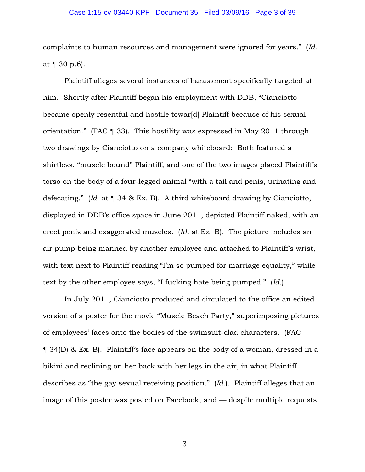### Case 1:15-cv-03440-KPF Document 35 Filed 03/09/16 Page 3 of 39

complaints to human resources and management were ignored for years." (*Id.* at ¶ 30 p.6).

Plaintiff alleges several instances of harassment specifically targeted at him. Shortly after Plaintiff began his employment with DDB, "Cianciotto became openly resentful and hostile towar[d] Plaintiff because of his sexual orientation." (FAC ¶ 33). This hostility was expressed in May 2011 through two drawings by Cianciotto on a company whiteboard: Both featured a shirtless, "muscle bound" Plaintiff, and one of the two images placed Plaintiff's torso on the body of a four-legged animal "with a tail and penis, urinating and defecating." (*Id.* at ¶ 34 & Ex. B). A third whiteboard drawing by Cianciotto, displayed in DDB's office space in June 2011, depicted Plaintiff naked, with an erect penis and exaggerated muscles. (*Id.* at Ex. B). The picture includes an air pump being manned by another employee and attached to Plaintiff's wrist, with text next to Plaintiff reading "I'm so pumped for marriage equality," while text by the other employee says, "I fucking hate being pumped." (*Id.*).

In July 2011, Cianciotto produced and circulated to the office an edited version of a poster for the movie "Muscle Beach Party," superimposing pictures of employees' faces onto the bodies of the swimsuit-clad characters. (FAC ¶ 34(D) & Ex. B). Plaintiff's face appears on the body of a woman, dressed in a bikini and reclining on her back with her legs in the air, in what Plaintiff describes as "the gay sexual receiving position." (*Id.*). Plaintiff alleges that an image of this poster was posted on Facebook, and — despite multiple requests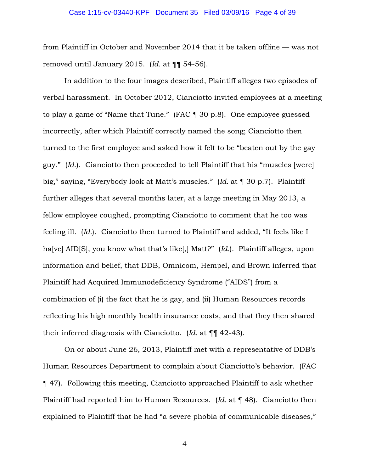### Case 1:15-cv-03440-KPF Document 35 Filed 03/09/16 Page 4 of 39

from Plaintiff in October and November 2014 that it be taken offline — was not removed until January 2015. (*Id.* at ¶¶ 54-56).

In addition to the four images described, Plaintiff alleges two episodes of verbal harassment. In October 2012, Cianciotto invited employees at a meeting to play a game of "Name that Tune." (FAC ¶ 30 p.8). One employee guessed incorrectly, after which Plaintiff correctly named the song; Cianciotto then turned to the first employee and asked how it felt to be "beaten out by the gay guy." (*Id.*). Cianciotto then proceeded to tell Plaintiff that his "muscles [were] big," saying, "Everybody look at Matt's muscles." (*Id.* at ¶ 30 p.7). Plaintiff further alleges that several months later, at a large meeting in May 2013, a fellow employee coughed, prompting Cianciotto to comment that he too was feeling ill. (*Id.*). Cianciotto then turned to Plaintiff and added, "It feels like I ha[ve] AID[S], you know what that's like[,] Matt?" (*Id.*). Plaintiff alleges, upon information and belief, that DDB, Omnicom, Hempel, and Brown inferred that Plaintiff had Acquired Immunodeficiency Syndrome ("AIDS") from a combination of (i) the fact that he is gay, and (ii) Human Resources records reflecting his high monthly health insurance costs, and that they then shared their inferred diagnosis with Cianciotto. (*Id.* at ¶¶ 42-43).

On or about June 26, 2013, Plaintiff met with a representative of DDB's Human Resources Department to complain about Cianciotto's behavior. (FAC ¶ 47). Following this meeting, Cianciotto approached Plaintiff to ask whether Plaintiff had reported him to Human Resources. (*Id.* at ¶ 48). Cianciotto then explained to Plaintiff that he had "a severe phobia of communicable diseases,"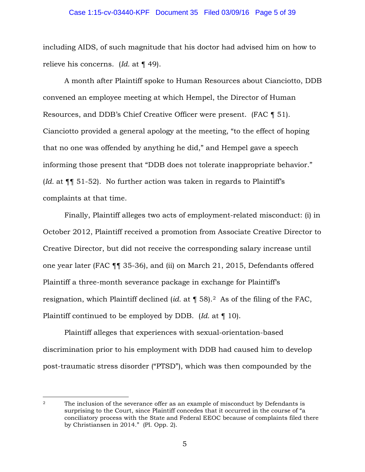### Case 1:15-cv-03440-KPF Document 35 Filed 03/09/16 Page 5 of 39

including AIDS, of such magnitude that his doctor had advised him on how to relieve his concerns. (*Id.* at ¶ 49).

A month after Plaintiff spoke to Human Resources about Cianciotto, DDB convened an employee meeting at which Hempel, the Director of Human Resources, and DDB's Chief Creative Officer were present. (FAC ¶ 51). Cianciotto provided a general apology at the meeting, "to the effect of hoping that no one was offended by anything he did," and Hempel gave a speech informing those present that "DDB does not tolerate inappropriate behavior." (*Id.* at ¶¶ 51-52). No further action was taken in regards to Plaintiff's complaints at that time.

Finally, Plaintiff alleges two acts of employment-related misconduct: (i) in October 2012, Plaintiff received a promotion from Associate Creative Director to Creative Director, but did not receive the corresponding salary increase until one year later (FAC ¶¶ 35-36), and (ii) on March 21, 2015, Defendants offered Plaintiff a three-month severance package in exchange for Plaintiff's resignation, which Plaintiff declined (*id.* at ¶ 58).2 As of the filing of the FAC, Plaintiff continued to be employed by DDB. (*Id.* at ¶ 10).

Plaintiff alleges that experiences with sexual-orientation-based discrimination prior to his employment with DDB had caused him to develop post-traumatic stress disorder ("PTSD"), which was then compounded by the

 $\overline{a}$ 

<sup>&</sup>lt;sup>2</sup> The inclusion of the severance offer as an example of misconduct by Defendants is surprising to the Court, since Plaintiff concedes that it occurred in the course of "a conciliatory process with the State and Federal EEOC because of complaints filed there by Christiansen in 2014." (Pl. Opp. 2).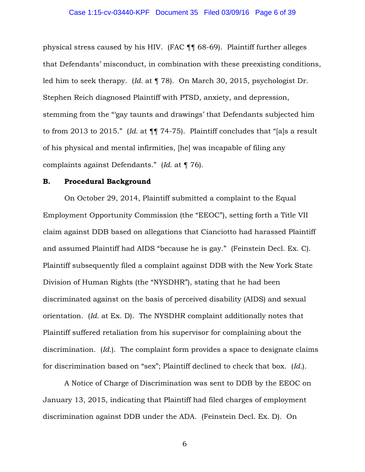### Case 1:15-cv-03440-KPF Document 35 Filed 03/09/16 Page 6 of 39

physical stress caused by his HIV. (FAC ¶¶ 68-69). Plaintiff further alleges that Defendants' misconduct, in combination with these preexisting conditions, led him to seek therapy. (*Id.* at ¶ 78). On March 30, 2015, psychologist Dr. Stephen Reich diagnosed Plaintiff with PTSD, anxiety, and depression, stemming from the "'gay taunts and drawings' that Defendants subjected him to from 2013 to 2015." (*Id.* at ¶¶ 74-75). Plaintiff concludes that "[a]s a result of his physical and mental infirmities, [he] was incapable of filing any complaints against Defendants." (*Id.* at ¶ 76).

### **B. Procedural Background**

On October 29, 2014, Plaintiff submitted a complaint to the Equal Employment Opportunity Commission (the "EEOC"), setting forth a Title VII claim against DDB based on allegations that Cianciotto had harassed Plaintiff and assumed Plaintiff had AIDS "because he is gay." (Feinstein Decl. Ex. C). Plaintiff subsequently filed a complaint against DDB with the New York State Division of Human Rights (the "NYSDHR"), stating that he had been discriminated against on the basis of perceived disability (AIDS) and sexual orientation. (*Id.* at Ex. D). The NYSDHR complaint additionally notes that Plaintiff suffered retaliation from his supervisor for complaining about the discrimination. (*Id.*). The complaint form provides a space to designate claims for discrimination based on "sex"; Plaintiff declined to check that box. (*Id.*).

A Notice of Charge of Discrimination was sent to DDB by the EEOC on January 13, 2015, indicating that Plaintiff had filed charges of employment discrimination against DDB under the ADA. (Feinstein Decl. Ex. D). On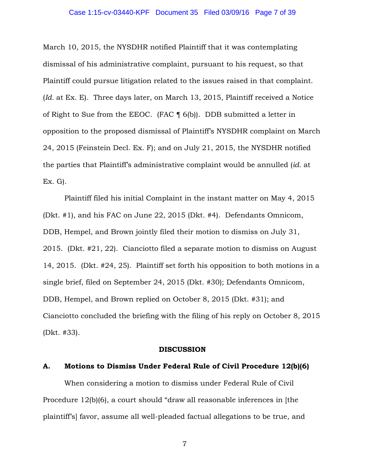March 10, 2015, the NYSDHR notified Plaintiff that it was contemplating dismissal of his administrative complaint, pursuant to his request, so that Plaintiff could pursue litigation related to the issues raised in that complaint. (*Id.* at Ex. E). Three days later, on March 13, 2015, Plaintiff received a Notice of Right to Sue from the EEOC. (FAC ¶ 6(b)). DDB submitted a letter in opposition to the proposed dismissal of Plaintiff's NYSDHR complaint on March 24, 2015 (Feinstein Decl. Ex. F); and on July 21, 2015, the NYSDHR notified the parties that Plaintiff's administrative complaint would be annulled (*id.* at Ex. G).

Plaintiff filed his initial Complaint in the instant matter on May 4, 2015 (Dkt. #1), and his FAC on June 22, 2015 (Dkt. #4). Defendants Omnicom, DDB, Hempel, and Brown jointly filed their motion to dismiss on July 31, 2015. (Dkt. #21, 22). Cianciotto filed a separate motion to dismiss on August 14, 2015. (Dkt. #24, 25). Plaintiff set forth his opposition to both motions in a single brief, filed on September 24, 2015 (Dkt. #30); Defendants Omnicom, DDB, Hempel, and Brown replied on October 8, 2015 (Dkt. #31); and Cianciotto concluded the briefing with the filing of his reply on October 8, 2015 (Dkt. #33).

#### **DISCUSSION**

### **A. Motions to Dismiss Under Federal Rule of Civil Procedure 12(b)(6)**

When considering a motion to dismiss under Federal Rule of Civil Procedure 12(b)(6), a court should "draw all reasonable inferences in [the plaintiff's] favor, assume all well-pleaded factual allegations to be true, and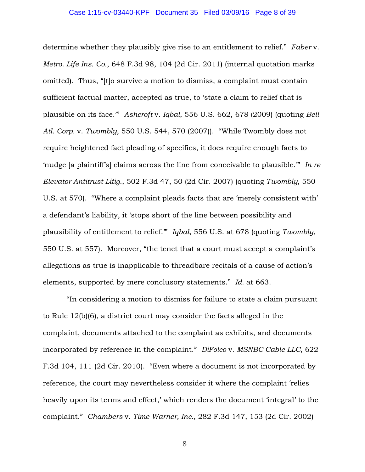determine whether they plausibly give rise to an entitlement to relief." *Faber* v. *Metro. Life Ins. Co.*, 648 F.3d 98, 104 (2d Cir. 2011) (internal quotation marks omitted). Thus, "[t]o survive a motion to dismiss, a complaint must contain sufficient factual matter, accepted as true, to 'state a claim to relief that is plausible on its face.'" *Ashcroft* v. *Iqbal*, 556 U.S. 662, 678 (2009) (quoting *Bell Atl. Corp.* v. *Twombly*, 550 U.S. 544, 570 (2007)). "While Twombly does not require heightened fact pleading of specifics, it does require enough facts to 'nudge [a plaintiff's] claims across the line from conceivable to plausible.'" *In re Elevator Antitrust Litig.*, 502 F.3d 47, 50 (2d Cir. 2007) (quoting *Twombly*, 550 U.S. at 570). "Where a complaint pleads facts that are 'merely consistent with' a defendant's liability, it 'stops short of the line between possibility and plausibility of entitlement to relief.'" *Iqbal*, 556 U.S. at 678 (quoting *Twombly*, 550 U.S. at 557). Moreover, "the tenet that a court must accept a complaint's allegations as true is inapplicable to threadbare recitals of a cause of action's elements, supported by mere conclusory statements." *Id.* at 663.

"In considering a motion to dismiss for failure to state a claim pursuant to Rule 12(b)(6), a district court may consider the facts alleged in the complaint, documents attached to the complaint as exhibits, and documents incorporated by reference in the complaint." *DiFolco* v. *MSNBC Cable LLC*, 622 F.3d 104, 111 (2d Cir. 2010). "Even where a document is not incorporated by reference, the court may nevertheless consider it where the complaint 'relies heavily upon its terms and effect,' which renders the document 'integral' to the complaint." *Chambers* v. *Time Warner, Inc.*, 282 F.3d 147, 153 (2d Cir. 2002)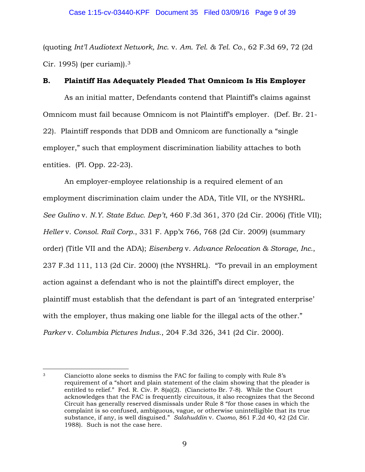(quoting *Int'l Audiotext Network, Inc*. v. *Am. Tel. & Tel. Co.*, 62 F.3d 69, 72 (2d Cir. 1995) (per curiam)).3

# **B. Plaintiff Has Adequately Pleaded That Omnicom Is His Employer**

As an initial matter, Defendants contend that Plaintiff's claims against Omnicom must fail because Omnicom is not Plaintiff's employer. (Def. Br. 21- 22). Plaintiff responds that DDB and Omnicom are functionally a "single employer," such that employment discrimination liability attaches to both entities. (Pl. Opp. 22-23).

An employer-employee relationship is a required element of an employment discrimination claim under the ADA, Title VII, or the NYSHRL. *See Gulino* v. *N.Y. State Educ. Dep't*, 460 F.3d 361, 370 (2d Cir. 2006) (Title VII); *Heller* v. *Consol. Rail Corp.*, 331 F. App'x 766, 768 (2d Cir. 2009) (summary order) (Title VII and the ADA); *Eisenberg* v. *Advance Relocation & Storage, Inc.*, 237 F.3d 111, 113 (2d Cir. 2000) (the NYSHRL). "To prevail in an employment action against a defendant who is not the plaintiff's direct employer, the plaintiff must establish that the defendant is part of an 'integrated enterprise' with the employer, thus making one liable for the illegal acts of the other." *Parker* v. *Columbia Pictures Indus.*, 204 F.3d 326, 341 (2d Cir. 2000).

 $\overline{a}$ <sup>3</sup> Cianciotto alone seeks to dismiss the FAC for failing to comply with Rule 8's requirement of a "short and plain statement of the claim showing that the pleader is entitled to relief." Fed. R. Civ. P. 8(a)(2). (Cianciotto Br. 7-8). While the Court acknowledges that the FAC is frequently circuitous, it also recognizes that the Second Circuit has generally reserved dismissals under Rule 8 "for those cases in which the complaint is so confused, ambiguous, vague, or otherwise unintelligible that its true substance, if any, is well disguised." *Salahuddin* v. *Cuomo*, 861 F.2d 40, 42 (2d Cir. 1988). Such is not the case here.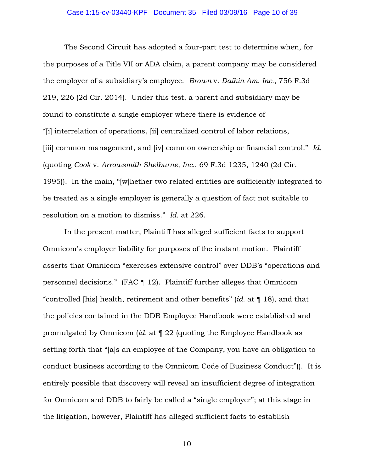### Case 1:15-cv-03440-KPF Document 35 Filed 03/09/16 Page 10 of 39

The Second Circuit has adopted a four-part test to determine when, for the purposes of a Title VII or ADA claim, a parent company may be considered the employer of a subsidiary's employee. *Brown* v. *Daikin Am. Inc.*, 756 F.3d 219, 226 (2d Cir. 2014). Under this test, a parent and subsidiary may be found to constitute a single employer where there is evidence of "[i] interrelation of operations, [ii] centralized control of labor relations, [iii] common management, and [iv] common ownership or financial control." *Id.* (quoting *Cook* v. *Arrowsmith Shelburne, Inc.*, 69 F.3d 1235, 1240 (2d Cir. 1995)). In the main, "[w]hether two related entities are sufficiently integrated to be treated as a single employer is generally a question of fact not suitable to resolution on a motion to dismiss." *Id.* at 226.

In the present matter, Plaintiff has alleged sufficient facts to support Omnicom's employer liability for purposes of the instant motion. Plaintiff asserts that Omnicom "exercises extensive control" over DDB's "operations and personnel decisions." (FAC ¶ 12). Plaintiff further alleges that Omnicom "controlled [his] health, retirement and other benefits" (*id.* at ¶ 18), and that the policies contained in the DDB Employee Handbook were established and promulgated by Omnicom (*id.* at ¶ 22 (quoting the Employee Handbook as setting forth that "[a]s an employee of the Company, you have an obligation to conduct business according to the Omnicom Code of Business Conduct")). It is entirely possible that discovery will reveal an insufficient degree of integration for Omnicom and DDB to fairly be called a "single employer"; at this stage in the litigation, however, Plaintiff has alleged sufficient facts to establish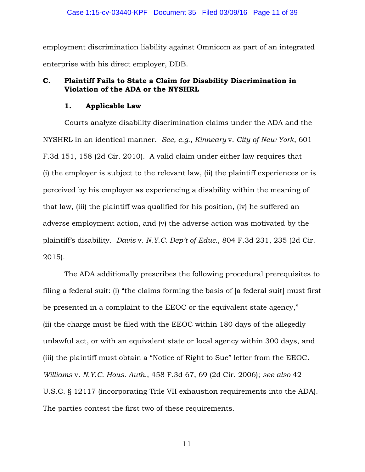employment discrimination liability against Omnicom as part of an integrated enterprise with his direct employer, DDB.

# **C. Plaintiff Fails to State a Claim for Disability Discrimination in Violation of the ADA or the NYSHRL**

## **1. Applicable Law**

Courts analyze disability discrimination claims under the ADA and the NYSHRL in an identical manner. *See, e.g.*, *Kinneary* v. *City of New York*, 601 F.3d 151, 158 (2d Cir. 2010). A valid claim under either law requires that (i) the employer is subject to the relevant law, (ii) the plaintiff experiences or is perceived by his employer as experiencing a disability within the meaning of that law, (iii) the plaintiff was qualified for his position, (iv) he suffered an adverse employment action, and (v) the adverse action was motivated by the plaintiff's disability. *Davis* v. *N.Y.C. Dep't of Educ.*, 804 F.3d 231, 235 (2d Cir. 2015).

The ADA additionally prescribes the following procedural prerequisites to filing a federal suit: (i) "the claims forming the basis of [a federal suit] must first be presented in a complaint to the EEOC or the equivalent state agency," (ii) the charge must be filed with the EEOC within 180 days of the allegedly unlawful act, or with an equivalent state or local agency within 300 days, and (iii) the plaintiff must obtain a "Notice of Right to Sue" letter from the EEOC. *Williams* v. *N.Y.C. Hous. Auth.*, 458 F.3d 67, 69 (2d Cir. 2006); *see also* 42 U.S.C. § 12117 (incorporating Title VII exhaustion requirements into the ADA). The parties contest the first two of these requirements.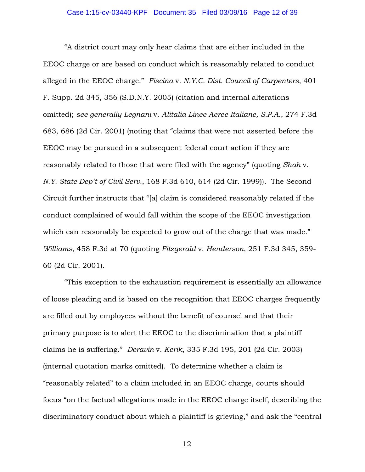"A district court may only hear claims that are either included in the EEOC charge or are based on conduct which is reasonably related to conduct alleged in the EEOC charge." *Fiscina* v. *N.Y.C. Dist. Council of Carpenters*, 401 F. Supp. 2d 345, 356 (S.D.N.Y. 2005) (citation and internal alterations omitted); *see generally Legnani* v. *Alitalia Linee Aeree Italiane, S.P.A.*, 274 F.3d 683, 686 (2d Cir. 2001) (noting that "claims that were not asserted before the EEOC may be pursued in a subsequent federal court action if they are reasonably related to those that were filed with the agency" (quoting *Shah* v. *N.Y. State Dep't of Civil Serv.*, 168 F.3d 610, 614 (2d Cir. 1999)). The Second Circuit further instructs that "[a] claim is considered reasonably related if the conduct complained of would fall within the scope of the EEOC investigation which can reasonably be expected to grow out of the charge that was made." *Williams*, 458 F.3d at 70 (quoting *Fitzgerald* v. *Henderson*, 251 F.3d 345, 359- 60 (2d Cir. 2001).

"This exception to the exhaustion requirement is essentially an allowance of loose pleading and is based on the recognition that EEOC charges frequently are filled out by employees without the benefit of counsel and that their primary purpose is to alert the EEOC to the discrimination that a plaintiff claims he is suffering." *Deravin* v. *Kerik*, 335 F.3d 195, 201 (2d Cir. 2003) (internal quotation marks omitted). To determine whether a claim is "reasonably related" to a claim included in an EEOC charge, courts should focus "on the factual allegations made in the EEOC charge itself, describing the discriminatory conduct about which a plaintiff is grieving," and ask the "central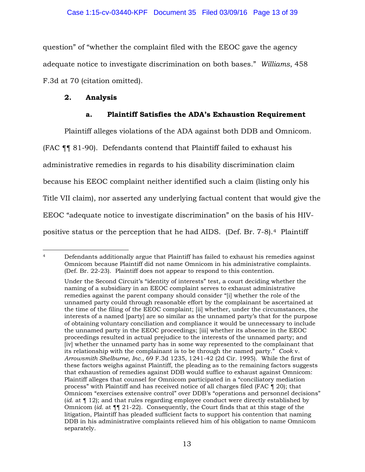question" of "whether the complaint filed with the EEOC gave the agency adequate notice to investigate discrimination on both bases." *Williams*, 458 F.3d at 70 (citation omitted).

# **2. Analysis**

# **a. Plaintiff Satisfies the ADA's Exhaustion Requirement**

Plaintiff alleges violations of the ADA against both DDB and Omnicom. (FAC ¶¶ 81-90). Defendants contend that Plaintiff failed to exhaust his administrative remedies in regards to his disability discrimination claim because his EEOC complaint neither identified such a claim (listing only his Title VII claim), nor asserted any underlying factual content that would give the EEOC "adequate notice to investigate discrimination" on the basis of his HIVpositive status or the perception that he had AIDS. (Def. Br. 7-8).4 Plaintiff

 $\overline{a}$ <sup>4</sup> Defendants additionally argue that Plaintiff has failed to exhaust his remedies against Omnicom because Plaintiff did not name Omnicom in his administrative complaints. (Def. Br. 22-23). Plaintiff does not appear to respond to this contention.

Under the Second Circuit's "identity of interests" test, a court deciding whether the naming of a subsidiary in an EEOC complaint serves to exhaust administrative remedies against the parent company should consider "[i] whether the role of the unnamed party could through reasonable effort by the complainant be ascertained at the time of the filing of the EEOC complaint; [ii] whether, under the circumstances, the interests of a named [party] are so similar as the unnamed party's that for the purpose of obtaining voluntary conciliation and compliance it would be unnecessary to include the unnamed party in the EEOC proceedings; [iii] whether its absence in the EEOC proceedings resulted in actual prejudice to the interests of the unnamed party; and [iv] whether the unnamed party has in some way represented to the complainant that its relationship with the complainant is to be through the named party." *Cook* v. *Arrowsmith Shelburne, Inc.*, 69 F.3d 1235, 1241-42 (2d Cir. 1995). While the first of these factors weighs against Plaintiff, the pleading as to the remaining factors suggests that exhaustion of remedies against DDB would suffice to exhaust against Omnicom: Plaintiff alleges that counsel for Omnicom participated in a "conciliatory mediation process" with Plaintiff and has received notice of all charges filed (FAC ¶ 20); that Omnicom "exercises extensive control" over DDB's "operations and personnel decisions" (*id.* at ¶ 12); and that rules regarding employee conduct were directly established by Omnicom (*id.* at ¶¶ 21-22). Consequently, the Court finds that at this stage of the litigation, Plaintiff has pleaded sufficient facts to support his contention that naming DDB in his administrative complaints relieved him of his obligation to name Omnicom separately.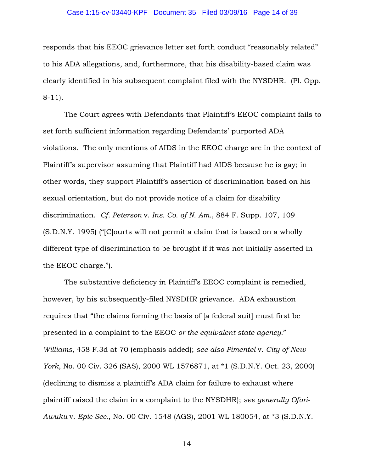### Case 1:15-cv-03440-KPF Document 35 Filed 03/09/16 Page 14 of 39

responds that his EEOC grievance letter set forth conduct "reasonably related" to his ADA allegations, and, furthermore, that his disability-based claim was clearly identified in his subsequent complaint filed with the NYSDHR. (Pl. Opp. 8-11).

The Court agrees with Defendants that Plaintiff's EEOC complaint fails to set forth sufficient information regarding Defendants' purported ADA violations. The only mentions of AIDS in the EEOC charge are in the context of Plaintiff's supervisor assuming that Plaintiff had AIDS because he is gay; in other words, they support Plaintiff's assertion of discrimination based on his sexual orientation, but do not provide notice of a claim for disability discrimination. *Cf. Peterson* v. *Ins. Co. of N. Am.*, 884 F. Supp. 107, 109 (S.D.N.Y. 1995) ("[C]ourts will not permit a claim that is based on a wholly different type of discrimination to be brought if it was not initially asserted in the EEOC charge.").

The substantive deficiency in Plaintiff's EEOC complaint is remedied, however, by his subsequently-filed NYSDHR grievance. ADA exhaustion requires that "the claims forming the basis of [a federal suit] must first be presented in a complaint to the EEOC *or the equivalent state agency*." *Williams,* 458 F.3d at 70 (emphasis added); *see also Pimentel* v. *City of New York*, No. 00 Civ. 326 (SAS), 2000 WL 1576871, at \*1 (S.D.N.Y. Oct. 23, 2000) (declining to dismiss a plaintiff's ADA claim for failure to exhaust where plaintiff raised the claim in a complaint to the NYSDHR); *see generally Ofori-Awuku* v. *Epic Sec.*, No. 00 Civ. 1548 (AGS), 2001 WL 180054, at \*3 (S.D.N.Y.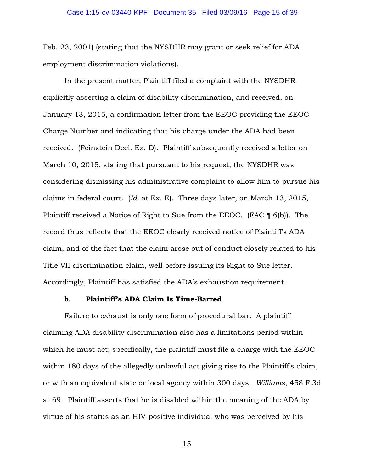Feb. 23, 2001) (stating that the NYSDHR may grant or seek relief for ADA employment discrimination violations).

In the present matter, Plaintiff filed a complaint with the NYSDHR explicitly asserting a claim of disability discrimination, and received, on January 13, 2015, a confirmation letter from the EEOC providing the EEOC Charge Number and indicating that his charge under the ADA had been received. (Feinstein Decl. Ex. D). Plaintiff subsequently received a letter on March 10, 2015, stating that pursuant to his request, the NYSDHR was considering dismissing his administrative complaint to allow him to pursue his claims in federal court. (*Id.* at Ex. E). Three days later, on March 13, 2015, Plaintiff received a Notice of Right to Sue from the EEOC. (FAC ¶ 6(b)). The record thus reflects that the EEOC clearly received notice of Plaintiff's ADA claim, and of the fact that the claim arose out of conduct closely related to his Title VII discrimination claim, well before issuing its Right to Sue letter. Accordingly, Plaintiff has satisfied the ADA's exhaustion requirement.

### **b. Plaintiff's ADA Claim Is Time-Barred**

Failure to exhaust is only one form of procedural bar. A plaintiff claiming ADA disability discrimination also has a limitations period within which he must act; specifically, the plaintiff must file a charge with the EEOC within 180 days of the allegedly unlawful act giving rise to the Plaintiff's claim, or with an equivalent state or local agency within 300 days. *Williams*, 458 F.3d at 69. Plaintiff asserts that he is disabled within the meaning of the ADA by virtue of his status as an HIV-positive individual who was perceived by his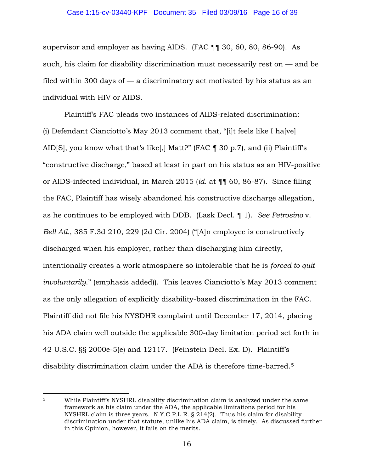## Case 1:15-cv-03440-KPF Document 35 Filed 03/09/16 Page 16 of 39

supervisor and employer as having AIDS. (FAC ¶¶ 30, 60, 80, 86-90). As such, his claim for disability discrimination must necessarily rest on — and be filed within 300 days of — a discriminatory act motivated by his status as an individual with HIV or AIDS.

Plaintiff's FAC pleads two instances of AIDS-related discrimination: (i) Defendant Cianciotto's May 2013 comment that, "[i]t feels like I ha [ve] AID[S], you know what that's like[,] Matt?" (FAC ¶ 30 p.7), and (ii) Plaintiff's "constructive discharge," based at least in part on his status as an HIV-positive or AIDS-infected individual, in March 2015 (*id.* at ¶¶ 60, 86-87). Since filing the FAC, Plaintiff has wisely abandoned his constructive discharge allegation, as he continues to be employed with DDB. (Lask Decl. ¶ 1). *See Petrosino* v. *Bell Atl.*, 385 F.3d 210, 229 (2d Cir. 2004) ("[A]n employee is constructively discharged when his employer, rather than discharging him directly, intentionally creates a work atmosphere so intolerable that he is *forced to quit involuntarily*." (emphasis added)). This leaves Cianciotto's May 2013 comment as the only allegation of explicitly disability-based discrimination in the FAC. Plaintiff did not file his NYSDHR complaint until December 17, 2014, placing his ADA claim well outside the applicable 300-day limitation period set forth in 42 U.S.C. §§ 2000e-5(e) and 12117. (Feinstein Decl. Ex. D). Plaintiff's disability discrimination claim under the ADA is therefore time-barred.5

 $\overline{a}$ 

<sup>5</sup> While Plaintiff's NYSHRL disability discrimination claim is analyzed under the same framework as his claim under the ADA, the applicable limitations period for his NYSHRL claim is three years. N.Y.C.P.L.R. § 214(2). Thus his claim for disability discrimination under that statute, unlike his ADA claim, is timely. As discussed further in this Opinion, however, it fails on the merits.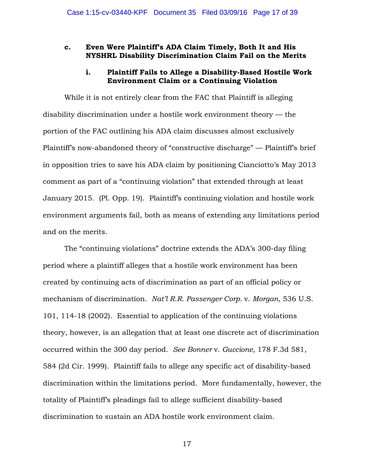### **c. Even Were Plaintiff's ADA Claim Timely, Both It and His NYSHRL Disability Discrimination Claim Fail on the Merits**

## **i. Plaintiff Fails to Allege a Disability-Based Hostile Work Environment Claim or a Continuing Violation**

While it is not entirely clear from the FAC that Plaintiff is alleging disability discrimination under a hostile work environment theory — the portion of the FAC outlining his ADA claim discusses almost exclusively Plaintiff's now-abandoned theory of "constructive discharge" — Plaintiff's brief in opposition tries to save his ADA claim by positioning Cianciotto's May 2013 comment as part of a "continuing violation" that extended through at least January 2015. (Pl. Opp. 19). Plaintiff's continuing violation and hostile work environment arguments fail, both as means of extending any limitations period and on the merits.

The "continuing violations" doctrine extends the ADA's 300-day filing period where a plaintiff alleges that a hostile work environment has been created by continuing acts of discrimination as part of an official policy or mechanism of discrimination. *Nat'l R.R. Passenger Corp.* v. *Morgan*, 536 U.S. 101, 114-18 (2002). Essential to application of the continuing violations theory, however, is an allegation that at least one discrete act of discrimination occurred within the 300 day period. *See Bonner* v. *Guccione,* 178 F.3d 581, 584 (2d Cir. 1999). Plaintiff fails to allege any specific act of disability-based discrimination within the limitations period. More fundamentally, however, the totality of Plaintiff's pleadings fail to allege sufficient disability-based discrimination to sustain an ADA hostile work environment claim.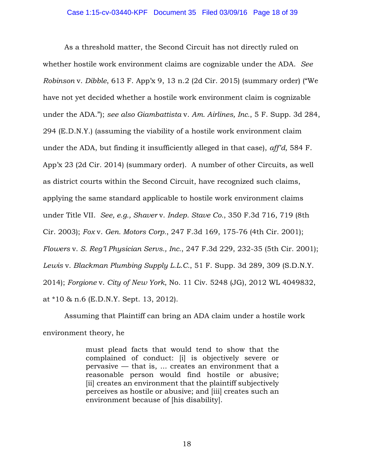As a threshold matter, the Second Circuit has not directly ruled on whether hostile work environment claims are cognizable under the ADA. *See Robinson* v. *Dibble*, 613 F. App'x 9, 13 n.2 (2d Cir. 2015) (summary order) ("We have not yet decided whether a hostile work environment claim is cognizable under the ADA."); *see also Giambattista* v. *Am. Airlines, Inc.*, 5 F. Supp. 3d 284, 294 (E.D.N.Y.) (assuming the viability of a hostile work environment claim under the ADA, but finding it insufficiently alleged in that case), *aff'd,* 584 F. App'x 23 (2d Cir. 2014) (summary order). A number of other Circuits, as well as district courts within the Second Circuit, have recognized such claims, applying the same standard applicable to hostile work environment claims under Title VII. *See, e.g., Shaver* v. *Indep. Stave Co.*, 350 F.3d 716, 719 (8th Cir. 2003); *Fox* v. *Gen. Motors Corp.*, 247 F.3d 169, 175-76 (4th Cir. 2001); *Flowers* v. *S. Reg'l Physician Servs., Inc.*, 247 F.3d 229, 232-35 (5th Cir. 2001); *Lewis* v. *Blackman Plumbing Supply L.L.C.*, 51 F. Supp. 3d 289, 309 (S.D.N.Y. 2014); *Forgione* v. *City of New York*, No. 11 Civ. 5248 (JG), 2012 WL 4049832, at \*10 & n.6 (E.D.N.Y. Sept. 13, 2012).

Assuming that Plaintiff can bring an ADA claim under a hostile work environment theory, he

> must plead facts that would tend to show that the complained of conduct: [i] is objectively severe or pervasive — that is, ... creates an environment that a reasonable person would find hostile or abusive; [ii] creates an environment that the plaintiff subjectively perceives as hostile or abusive; and [iii] creates such an environment because of [his disability].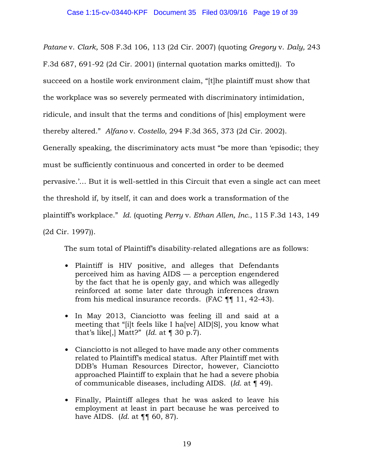*Patane* v. *Clark,* 508 F.3d 106, 113 (2d Cir. 2007) (quoting *Gregory* v. *Daly,* 243 F.3d 687, 691-92 (2d Cir. 2001) (internal quotation marks omitted)). To succeed on a hostile work environment claim, "[t]he plaintiff must show that the workplace was so severely permeated with discriminatory intimidation, ridicule, and insult that the terms and conditions of [his] employment were thereby altered." *Alfano* v. *Costello*, 294 F.3d 365, 373 (2d Cir. 2002). Generally speaking, the discriminatory acts must "be more than 'episodic; they must be sufficiently continuous and concerted in order to be deemed pervasive.'… But it is well-settled in this Circuit that even a single act can meet the threshold if, by itself, it can and does work a transformation of the plaintiff's workplace." *Id.* (quoting *Perry* v. *Ethan Allen, Inc.*, 115 F.3d 143, 149 (2d Cir. 1997)).

The sum total of Plaintiff's disability-related allegations are as follows:

- Plaintiff is HIV positive, and alleges that Defendants perceived him as having AIDS — a perception engendered by the fact that he is openly gay, and which was allegedly reinforced at some later date through inferences drawn from his medical insurance records. (FAC ¶¶ 11, 42-43).
- In May 2013, Cianciotto was feeling ill and said at a meeting that "[i]t feels like I ha[ve] AID[S], you know what that's like[,] Matt?"  *at*  $\lceil 30 \rceil$ *.*
- Cianciotto is not alleged to have made any other comments related to Plaintiff's medical status. After Plaintiff met with DDB's Human Resources Director, however, Cianciotto approached Plaintiff to explain that he had a severe phobia of communicable diseases, including AIDS. (*Id.* at ¶ 49).
- Finally, Plaintiff alleges that he was asked to leave his employment at least in part because he was perceived to have AIDS. (*Id.* at ¶¶ 60, 87).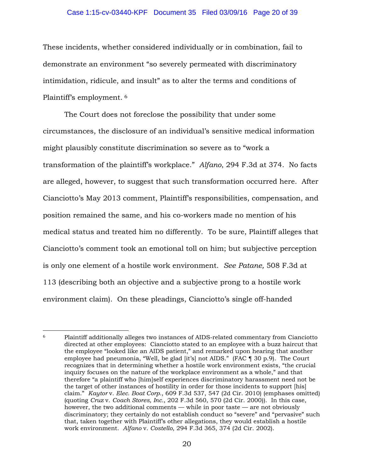### Case 1:15-cv-03440-KPF Document 35 Filed 03/09/16 Page 20 of 39

These incidents, whether considered individually or in combination, fail to demonstrate an environment "so severely permeated with discriminatory intimidation, ridicule, and insult" as to alter the terms and conditions of Plaintiff's employment. 6

The Court does not foreclose the possibility that under some circumstances, the disclosure of an individual's sensitive medical information might plausibly constitute discrimination so severe as to "work a transformation of the plaintiff's workplace." *Alfano*, 294 F.3d at 374. No facts are alleged, however, to suggest that such transformation occurred here. After Cianciotto's May 2013 comment, Plaintiff's responsibilities, compensation, and position remained the same, and his co-workers made no mention of his medical status and treated him no differently. To be sure, Plaintiff alleges that Cianciotto's comment took an emotional toll on him; but subjective perception is only one element of a hostile work environment. *See Patane,* 508 F.3d at 113 (describing both an objective and a subjective prong to a hostile work environment claim). On these pleadings, Cianciotto's single off-handed

 $\overline{a}$ 

<sup>6</sup> Plaintiff additionally alleges two instances of AIDS-related commentary from Cianciotto directed at other employees: Cianciotto stated to an employee with a buzz haircut that the employee "looked like an AIDS patient," and remarked upon hearing that another employee had pneumonia, "Well, be glad [it's] not AIDS." (FAC ¶ 30 p.9). The Court recognizes that in determining whether a hostile work environment exists, "the crucial inquiry focuses on the nature of the workplace environment as a whole," and that therefore "a plaintiff who [him]self experiences discriminatory harassment need not be the target of other instances of hostility in order for those incidents to support [his] claim." *Kaytor* v. *Elec. Boat Corp.*, 609 F.3d 537, 547 (2d Cir. 2010) (emphases omitted) (quoting *Cruz* v. *Coach Stores, Inc.*, 202 F.3d 560, 570 (2d Cir. 2000)). In this case, however, the two additional comments — while in poor taste — are not obviously discriminatory; they certainly do not establish conduct so "severe" and "pervasive" such that, taken together with Plaintiff's other allegations, they would establish a hostile work environment. *Alfano* v. *Costello*, 294 F.3d 365, 374 (2d Cir. 2002).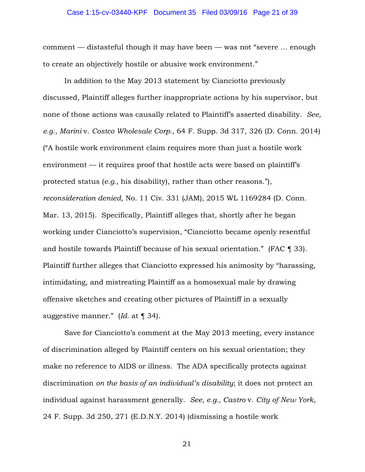### Case 1:15-cv-03440-KPF Document 35 Filed 03/09/16 Page 21 of 39

comment — distasteful though it may have been — was not "severe … enough to create an objectively hostile or abusive work environment."

In addition to the May 2013 statement by Cianciotto previously discussed, Plaintiff alleges further inappropriate actions by his supervisor, but none of those actions was causally related to Plaintiff's asserted disability. *See, e.g.*, *Marini* v. *Costco Wholesale Corp.*, 64 F. Supp. 3d 317, 326 (D. Conn. 2014) ("A hostile work environment claim requires more than just a hostile work environment — it requires proof that hostile acts were based on plaintiff's protected status (*e.g.,* his disability), rather than other reasons."), *reconsideration denied,* No. 11 Civ. 331 (JAM), 2015 WL 1169284 (D. Conn. Mar. 13, 2015). Specifically, Plaintiff alleges that, shortly after he began working under Cianciotto's supervision, "Cianciotto became openly resentful and hostile towards Plaintiff because of his sexual orientation." (FAC ¶ 33). Plaintiff further alleges that Cianciotto expressed his animosity by "harassing, intimidating, and mistreating Plaintiff as a homosexual male by drawing offensive sketches and creating other pictures of Plaintiff in a sexually suggestive manner." (*Id.* at ¶ 34).

Save for Cianciotto's comment at the May 2013 meeting, every instance of discrimination alleged by Plaintiff centers on his sexual orientation; they make no reference to AIDS or illness. The ADA specifically protects against discrimination *on the basis of an individual's disability*; it does not protect an individual against harassment generally. *See, e.g., Castro* v. *City of New York*, 24 F. Supp. 3d 250, 271 (E.D.N.Y. 2014) (dismissing a hostile work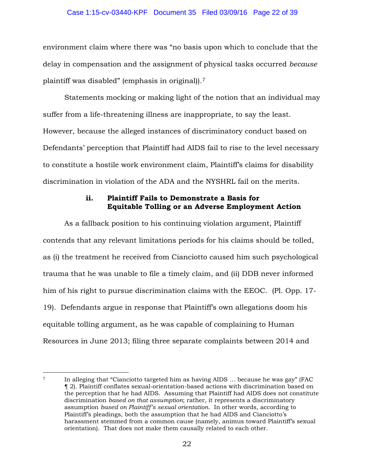### Case 1:15-cv-03440-KPF Document 35 Filed 03/09/16 Page 22 of 39

environment claim where there was "no basis upon which to conclude that the delay in compensation and the assignment of physical tasks occurred *because* plaintiff was disabled" (emphasis in original)).7

Statements mocking or making light of the notion that an individual may suffer from a life-threatening illness are inappropriate, to say the least. However, because the alleged instances of discriminatory conduct based on Defendants' perception that Plaintiff had AIDS fail to rise to the level necessary to constitute a hostile work environment claim, Plaintiff's claims for disability discrimination in violation of the ADA and the NYSHRL fail on the merits.

# **ii. Plaintiff Fails to Demonstrate a Basis for Equitable Tolling or an Adverse Employment Action**

As a fallback position to his continuing violation argument, Plaintiff contends that any relevant limitations periods for his claims should be tolled, as (i) the treatment he received from Cianciotto caused him such psychological trauma that he was unable to file a timely claim, and (ii) DDB never informed him of his right to pursue discrimination claims with the EEOC. (Pl. Opp. 17- 19). Defendants argue in response that Plaintiff's own allegations doom his equitable tolling argument, as he was capable of complaining to Human Resources in June 2013; filing three separate complaints between 2014 and

 $\overline{a}$ <sup>7</sup> In alleging that "Cianciotto targeted him as having AIDS … because he was gay" (FAC ¶ 2). Plaintiff conflates sexual-orientation-based actions with discrimination based on the perception that he had AIDS. Assuming that Plaintiff had AIDS does not constitute discrimination *based on that assumption*; rather, it represents a discriminatory assumption *based on Plaintiff's sexual orientation*. In other words, according to Plaintiff's pleadings, both the assumption that he had AIDS and Cianciotto's harassment stemmed from a common cause (namely, animus toward Plaintiff's sexual orientation). That does not make them causally related to each other.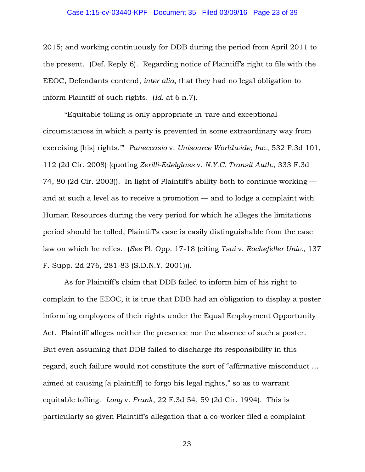### Case 1:15-cv-03440-KPF Document 35 Filed 03/09/16 Page 23 of 39

2015; and working continuously for DDB during the period from April 2011 to the present. (Def. Reply 6). Regarding notice of Plaintiff's right to file with the EEOC, Defendants contend, *inter alia*, that they had no legal obligation to inform Plaintiff of such rights. (*Id.* at 6 n.7).

"Equitable tolling is only appropriate in 'rare and exceptional circumstances in which a party is prevented in some extraordinary way from exercising [his] rights.'" *Paneccasio* v. *Unisource Worldwide, Inc.*, 532 F.3d 101, 112 (2d Cir. 2008) (quoting *Zerilli-Edelglass* v. *N.Y.C. Transit Auth.*, 333 F.3d 74, 80 (2d Cir. 2003)). In light of Plaintiff's ability both to continue working and at such a level as to receive a promotion — and to lodge a complaint with Human Resources during the very period for which he alleges the limitations period should be tolled, Plaintiff's case is easily distinguishable from the case law on which he relies. (*See* Pl. Opp. 17-18 (citing *Tsai* v. *Rockefeller Univ.*, 137 F. Supp. 2d 276, 281-83 (S.D.N.Y. 2001))).

As for Plaintiff's claim that DDB failed to inform him of his right to complain to the EEOC, it is true that DDB had an obligation to display a poster informing employees of their rights under the Equal Employment Opportunity Act. Plaintiff alleges neither the presence nor the absence of such a poster. But even assuming that DDB failed to discharge its responsibility in this regard, such failure would not constitute the sort of "affirmative misconduct … aimed at causing [a plaintiff] to forgo his legal rights," so as to warrant equitable tolling. *Long* v. *Frank*, 22 F.3d 54, 59 (2d Cir. 1994). This is particularly so given Plaintiff's allegation that a co-worker filed a complaint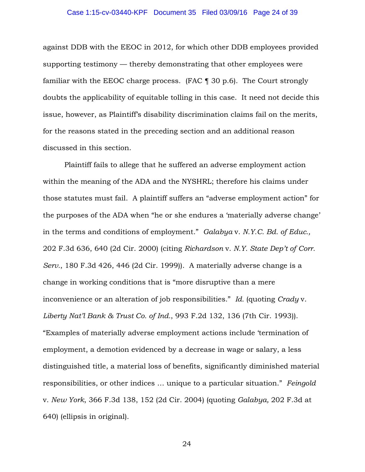### Case 1:15-cv-03440-KPF Document 35 Filed 03/09/16 Page 24 of 39

against DDB with the EEOC in 2012, for which other DDB employees provided supporting testimony — thereby demonstrating that other employees were familiar with the EEOC charge process. (FAC ¶ 30 p.6). The Court strongly doubts the applicability of equitable tolling in this case. It need not decide this issue, however, as Plaintiff's disability discrimination claims fail on the merits, for the reasons stated in the preceding section and an additional reason discussed in this section.

Plaintiff fails to allege that he suffered an adverse employment action within the meaning of the ADA and the NYSHRL; therefore his claims under those statutes must fail. A plaintiff suffers an "adverse employment action" for the purposes of the ADA when "he or she endures a 'materially adverse change' in the terms and conditions of employment." *Galabya* v. *N.Y.C. Bd. of Educ.,* 202 F.3d 636, 640 (2d Cir. 2000) (citing *Richardson* v. *N.Y. State Dep't of Corr. Serv.*, 180 F.3d 426, 446 (2d Cir. 1999)). A materially adverse change is a change in working conditions that is "more disruptive than a mere inconvenience or an alteration of job responsibilities." *Id.* (quoting *Crady* v. *Liberty Nat'l Bank & Trust Co. of Ind.*, 993 F.2d 132, 136 (7th Cir. 1993)). "Examples of materially adverse employment actions include 'termination of employment, a demotion evidenced by a decrease in wage or salary, a less distinguished title, a material loss of benefits, significantly diminished material responsibilities, or other indices … unique to a particular situation." *Feingold*  v. *New York*, 366 F.3d 138, 152 (2d Cir. 2004) (quoting *Galabya,* 202 F.3d at 640) (ellipsis in original).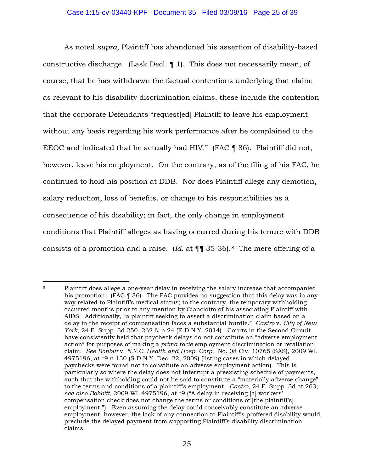As noted *supra*, Plaintiff has abandoned his assertion of disability-based constructive discharge. (Lask Decl. ¶ 1). This does not necessarily mean, of course, that he has withdrawn the factual contentions underlying that claim; as relevant to his disability discrimination claims, these include the contention that the corporate Defendants "request[ed] Plaintiff to leave his employment without any basis regarding his work performance after he complained to the EEOC and indicated that he actually had HIV." (FAC ¶ 86). Plaintiff did not, however, leave his employment. On the contrary, as of the filing of his FAC, he continued to hold his position at DDB. Nor does Plaintiff allege any demotion, salary reduction, loss of benefits, or change to his responsibilities as a consequence of his disability; in fact, the only change in employment conditions that Plaintiff alleges as having occurred during his tenure with DDB consists of a promotion and a raise. (*Id.* at ¶¶ 35-36).8 The mere offering of a

 $\overline{a}$ <sup>8</sup> Plaintiff does allege a one-year delay in receiving the salary increase that accompanied his promotion. (FAC ¶ 36). The FAC provides no suggestion that this delay was in any way related to Plaintiff's medical status; to the contrary, the temporary withholding occurred months prior to any mention by Cianciotto of his associating Plaintiff with AIDS. Additionally, "a plaintiff seeking to assert a discrimination claim based on a delay in the receipt of compensation faces a substantial hurdle." *Castro* v. *City of New York*, 24 F. Supp. 3d 250, 262 & n.24 (E.D.N.Y. 2014). Courts in the Second Circuit have consistently held that paycheck delays do not constitute an "adverse employment action" for purposes of making a *prima facie* employment discrimination or retaliation claim. *See Bobbitt* v. *N.Y.C. Health and Hosp. Corp.*, No. 08 Civ. 10765 (SAS), 2009 WL 4975196, at \*9 n.130 (S.D.N.Y. Dec. 22, 2009) (listing cases in which delayed paychecks were found not to constitute an adverse employment action). This is particularly so where the delay does not interrupt a preexisting schedule of payments, such that the withholding could not be said to constitute a "materially adverse change" to the terms and conditions of a plaintiff's employment. *Castro*, 24 F. Supp. 3d at 263; *see also Bobbitt*, 2009 WL 4975196, at \*9 ("A delay in receiving [a] workers' compensation check does not change the terms or conditions of [the plaintiff's] employment."). Even assuming the delay could conceivably constitute an adverse employment, however, the lack of any connection to Plaintiff's proffered disability would preclude the delayed payment from supporting Plaintiff's disability discrimination claims.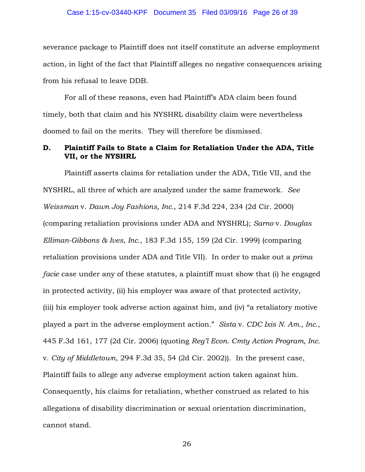### Case 1:15-cv-03440-KPF Document 35 Filed 03/09/16 Page 26 of 39

severance package to Plaintiff does not itself constitute an adverse employment action, in light of the fact that Plaintiff alleges no negative consequences arising from his refusal to leave DDB.

For all of these reasons, even had Plaintiff's ADA claim been found timely, both that claim and his NYSHRL disability claim were nevertheless doomed to fail on the merits. They will therefore be dismissed.

## **D. Plaintiff Fails to State a Claim for Retaliation Under the ADA, Title VII, or the NYSHRL**

Plaintiff asserts claims for retaliation under the ADA, Title VII, and the NYSHRL, all three of which are analyzed under the same framework. *See Weissman* v. *Dawn Joy Fashions, Inc.*, 214 F.3d 224, 234 (2d Cir. 2000) (comparing retaliation provisions under ADA and NYSHRL); *Sarno* v. *Douglas Elliman-Gibbons & Ives, Inc.*, 183 F.3d 155, 159 (2d Cir. 1999) (comparing retaliation provisions under ADA and Title VII). In order to make out a *prima facie* case under any of these statutes, a plaintiff must show that (i) he engaged in protected activity, (ii) his employer was aware of that protected activity, (iii) his employer took adverse action against him, and (iv) "a retaliatory motive played a part in the adverse employment action." *Sista* v. *CDC Ixis N. Am., Inc.*, 445 F.3d 161, 177 (2d Cir. 2006) (quoting *Reg'l Econ. Cmty Action Program, Inc.*  v. *City of Middletown*, 294 F.3d 35, 54 (2d Cir. 2002)). In the present case, Plaintiff fails to allege any adverse employment action taken against him. Consequently, his claims for retaliation, whether construed as related to his allegations of disability discrimination or sexual orientation discrimination, cannot stand.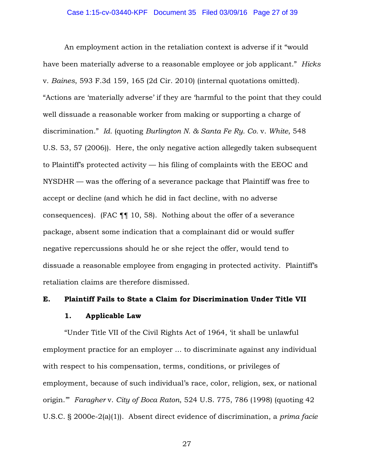An employment action in the retaliation context is adverse if it "would have been materially adverse to a reasonable employee or job applicant." *Hicks* v. *Baines*, 593 F.3d 159, 165 (2d Cir. 2010) (internal quotations omitted). "Actions are 'materially adverse' if they are 'harmful to the point that they could well dissuade a reasonable worker from making or supporting a charge of discrimination." *Id.* (quoting *Burlington N. & Santa Fe Ry. Co.* v. *White*, 548 U.S. 53, 57 (2006)). Here, the only negative action allegedly taken subsequent to Plaintiff's protected activity — his filing of complaints with the EEOC and NYSDHR — was the offering of a severance package that Plaintiff was free to accept or decline (and which he did in fact decline, with no adverse consequences). (FAC ¶¶ 10, 58). Nothing about the offer of a severance package, absent some indication that a complainant did or would suffer negative repercussions should he or she reject the offer, would tend to dissuade a reasonable employee from engaging in protected activity. Plaintiff's retaliation claims are therefore dismissed.

## **E. Plaintiff Fails to State a Claim for Discrimination Under Title VII**

### **1. Applicable Law**

"Under Title VII of the Civil Rights Act of 1964, 'it shall be unlawful employment practice for an employer ... to discriminate against any individual with respect to his compensation, terms, conditions, or privileges of employment, because of such individual's race, color, religion, sex, or national origin.'" *Faragher* v. *City of Boca Raton*, 524 U.S. 775, 786 (1998) (quoting 42 U.S.C. § 2000e-2(a)(1)). Absent direct evidence of discrimination, a *prima facie*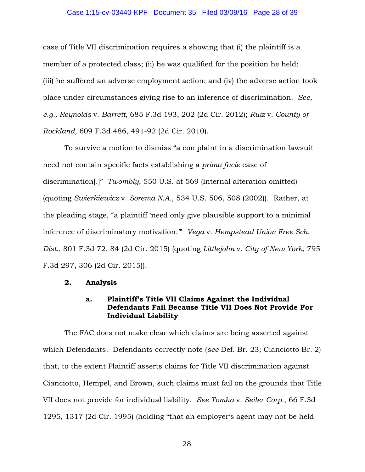### Case 1:15-cv-03440-KPF Document 35 Filed 03/09/16 Page 28 of 39

case of Title VII discrimination requires a showing that (i) the plaintiff is a member of a protected class; (ii) he was qualified for the position he held; (iii) he suffered an adverse employment action; and (iv) the adverse action took place under circumstances giving rise to an inference of discrimination. *See, e.g., Reynolds* v. *Barrett,* 685 F.3d 193, 202 (2d Cir. 2012); *Ruiz* v. *County of Rockland,* 609 F.3d 486, 491-92 (2d Cir. 2010).

To survive a motion to dismiss "a complaint in a discrimination lawsuit need not contain specific facts establishing a *prima facie* case of discrimination[.]" *Twombly*, 550 U.S. at 569 (internal alteration omitted) (quoting *Swierkiewicz* v. *Sorema N.A.*, 534 U.S. 506, 508 (2002)). Rather, at the pleading stage, "a plaintiff 'need only give plausible support to a minimal inference of discriminatory motivation.'" *Vega* v. *Hempstead Union Free Sch. Dist.*, 801 F.3d 72, 84 (2d Cir. 2015) (quoting *Littlejohn* v. *City of New York*, 795 F.3d 297, 306 (2d Cir. 2015)).

### **2. Analysis**

## **a. Plaintiff's Title VII Claims Against the Individual Defendants Fail Because Title VII Does Not Provide For Individual Liability**

The FAC does not make clear which claims are being asserted against which Defendants. Defendants correctly note (*see* Def. Br. 23; Cianciotto Br. 2) that, to the extent Plaintiff asserts claims for Title VII discrimination against Cianciotto, Hempel, and Brown, such claims must fail on the grounds that Title VII does not provide for individual liability. *See Tomka* v. *Seiler Corp.*, 66 F.3d 1295, 1317 (2d Cir. 1995) (holding "that an employer's agent may not be held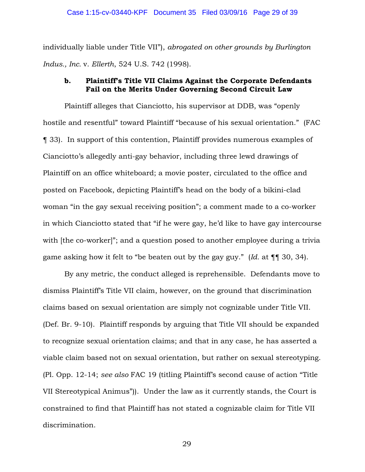individually liable under Title VII"), *abrogated on other grounds by Burlington Indus., Inc.* v. *Ellerth*, 524 U.S. 742 (1998).

## **b. Plaintiff's Title VII Claims Against the Corporate Defendants Fail on the Merits Under Governing Second Circuit Law**

Plaintiff alleges that Cianciotto, his supervisor at DDB, was "openly hostile and resentful" toward Plaintiff "because of his sexual orientation." (FAC ¶ 33). In support of this contention, Plaintiff provides numerous examples of Cianciotto's allegedly anti-gay behavior, including three lewd drawings of Plaintiff on an office whiteboard; a movie poster, circulated to the office and posted on Facebook, depicting Plaintiff's head on the body of a bikini-clad woman "in the gay sexual receiving position"; a comment made to a co-worker in which Cianciotto stated that "if he were gay, he'd like to have gay intercourse with [the co-worker]"; and a question posed to another employee during a trivia game asking how it felt to "be beaten out by the gay guy." (*Id.* at ¶¶ 30, 34).

By any metric, the conduct alleged is reprehensible. Defendants move to dismiss Plaintiff's Title VII claim, however, on the ground that discrimination claims based on sexual orientation are simply not cognizable under Title VII. (Def. Br. 9-10). Plaintiff responds by arguing that Title VII should be expanded to recognize sexual orientation claims; and that in any case, he has asserted a viable claim based not on sexual orientation, but rather on sexual stereotyping. (Pl. Opp. 12-14; *see also* FAC 19 (titling Plaintiff's second cause of action "Title VII Stereotypical Animus")). Under the law as it currently stands, the Court is constrained to find that Plaintiff has not stated a cognizable claim for Title VII discrimination.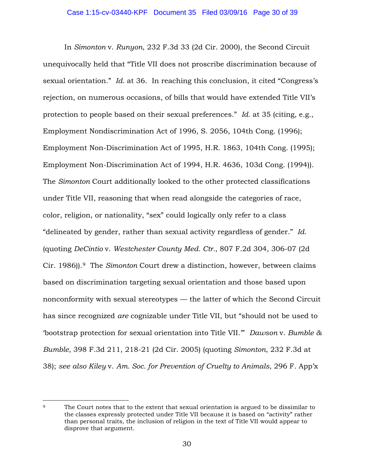In *Simonton* v. *Runyon*, 232 F.3d 33 (2d Cir. 2000), the Second Circuit unequivocally held that "Title VII does not proscribe discrimination because of sexual orientation." *Id.* at 36. In reaching this conclusion, it cited "Congress's rejection, on numerous occasions, of bills that would have extended Title VII's protection to people based on their sexual preferences." *Id.* at 35 (citing, e.g., Employment Nondiscrimination Act of 1996, S. 2056, 104th Cong. (1996); Employment Non-Discrimination Act of 1995, H.R. 1863, 104th Cong. (1995); Employment Non-Discrimination Act of 1994, H.R. 4636, 103d Cong. (1994)). The *Simonton* Court additionally looked to the other protected classifications under Title VII, reasoning that when read alongside the categories of race, color, religion, or nationality, "sex" could logically only refer to a class "delineated by gender, rather than sexual activity regardless of gender." *Id.* (quoting *DeCintio* v. *Westchester County Med. Ctr.*, 807 F.2d 304, 306-07 (2d Cir. 1986)).9 The *Simonton* Court drew a distinction, however, between claims based on discrimination targeting sexual orientation and those based upon nonconformity with sexual stereotypes — the latter of which the Second Circuit has since recognized *are* cognizable under Title VII, but "should not be used to 'bootstrap protection for sexual orientation into Title VII.'" *Dawson* v. *Bumble & Bumble*, 398 F.3d 211, 218-21 (2d Cir. 2005) (quoting *Simonton*, 232 F.3d at 38); *see also Kiley* v. *Am. Soc. for Prevention of Cruelty to Animals*, 296 F. App'x

 $\overline{a}$ 

<sup>&</sup>lt;sup>9</sup> The Court notes that to the extent that sexual orientation is argued to be dissimilar to the classes expressly protected under Title VII because it is based on "activity" rather than personal traits, the inclusion of religion in the text of Title VII would appear to disprove that argument.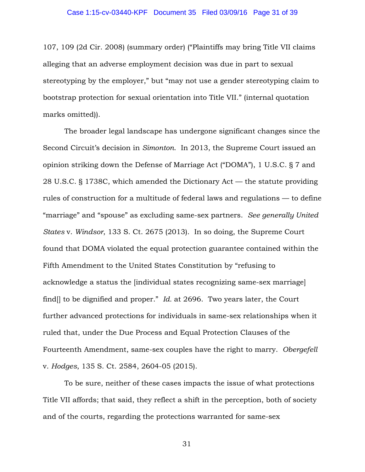107, 109 (2d Cir. 2008) (summary order) ("Plaintiffs may bring Title VII claims alleging that an adverse employment decision was due in part to sexual stereotyping by the employer," but "may not use a gender stereotyping claim to bootstrap protection for sexual orientation into Title VII." (internal quotation marks omitted)).

The broader legal landscape has undergone significant changes since the Second Circuit's decision in *Simonton*. In 2013, the Supreme Court issued an opinion striking down the Defense of Marriage Act ("DOMA"), 1 U.S.C. § 7 and 28 U.S.C. § 1738C, which amended the Dictionary Act — the statute providing rules of construction for a multitude of federal laws and regulations — to define "marriage" and "spouse" as excluding same-sex partners. *See generally United States* v. *Windsor*, 133 S. Ct. 2675 (2013). In so doing, the Supreme Court found that DOMA violated the equal protection guarantee contained within the Fifth Amendment to the United States Constitution by "refusing to acknowledge a status the [individual states recognizing same-sex marriage] find[] to be dignified and proper." *Id.* at 2696. Two years later, the Court further advanced protections for individuals in same-sex relationships when it ruled that, under the Due Process and Equal Protection Clauses of the Fourteenth Amendment, same-sex couples have the right to marry. *Obergefell*  v. *Hodges*, 135 S. Ct. 2584, 2604-05 (2015).

To be sure, neither of these cases impacts the issue of what protections Title VII affords; that said, they reflect a shift in the perception, both of society and of the courts, regarding the protections warranted for same-sex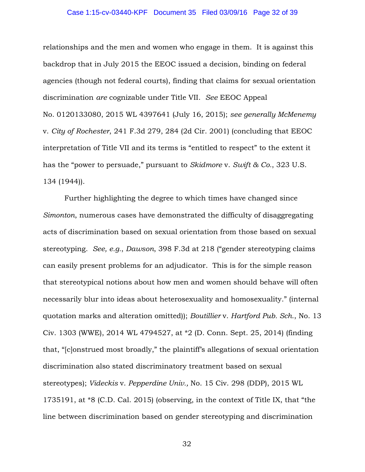### Case 1:15-cv-03440-KPF Document 35 Filed 03/09/16 Page 32 of 39

relationships and the men and women who engage in them. It is against this backdrop that in July 2015 the EEOC issued a decision, binding on federal agencies (though not federal courts), finding that claims for sexual orientation discrimination *are* cognizable under Title VII. *See* EEOC Appeal No. 0120133080, 2015 WL 4397641 (July 16, 2015); *see generally McMenemy* v. *City of Rochester*, 241 F.3d 279, 284 (2d Cir. 2001) (concluding that EEOC interpretation of Title VII and its terms is "entitled to respect" to the extent it has the "power to persuade," pursuant to *Skidmore* v. *Swift & Co.*, 323 U.S. 134 (1944)).

Further highlighting the degree to which times have changed since *Simonton*, numerous cases have demonstrated the difficulty of disaggregating acts of discrimination based on sexual orientation from those based on sexual stereotyping. *See, e.g.*, *Dawson*, 398 F.3d at 218 ("gender stereotyping claims can easily present problems for an adjudicator. This is for the simple reason that stereotypical notions about how men and women should behave will often necessarily blur into ideas about heterosexuality and homosexuality." (internal quotation marks and alteration omitted)); *Boutillier* v. *Hartford Pub. Sch.*, No. 13 Civ. 1303 (WWE), 2014 WL 4794527, at \*2 (D. Conn. Sept. 25, 2014) (finding that, "[c]onstrued most broadly," the plaintiff's allegations of sexual orientation discrimination also stated discriminatory treatment based on sexual stereotypes); *Videckis* v. *Pepperdine Univ.,* No. 15 Civ. 298 (DDP), 2015 WL 1735191, at \*8 (C.D. Cal. 2015) (observing, in the context of Title IX, that "the line between discrimination based on gender stereotyping and discrimination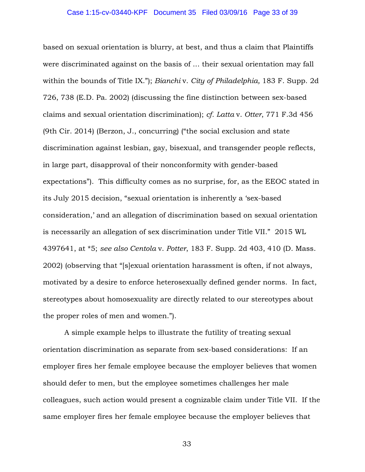based on sexual orientation is blurry, at best, and thus a claim that Plaintiffs were discriminated against on the basis of ... their sexual orientation may fall within the bounds of Title IX."); *Bianchi* v. *City of Philadelphia,* 183 F. Supp. 2d 726, 738 (E.D. Pa. 2002) (discussing the fine distinction between sex-based claims and sexual orientation discrimination); *cf. Latta* v. *Otter*, 771 F.3d 456 (9th Cir. 2014) (Berzon, J., concurring) ("the social exclusion and state discrimination against lesbian, gay, bisexual, and transgender people reflects, in large part, disapproval of their nonconformity with gender-based expectations"). This difficulty comes as no surprise, for, as the EEOC stated in its July 2015 decision, "sexual orientation is inherently a 'sex-based consideration,' and an allegation of discrimination based on sexual orientation is necessarily an allegation of sex discrimination under Title VII." 2015 WL 4397641, at \*5; *see also Centola* v. *Potter*, 183 F. Supp. 2d 403, 410 (D. Mass. 2002) (observing that "[s]exual orientation harassment is often, if not always, motivated by a desire to enforce heterosexually defined gender norms. In fact, stereotypes about homosexuality are directly related to our stereotypes about the proper roles of men and women.").

A simple example helps to illustrate the futility of treating sexual orientation discrimination as separate from sex-based considerations: If an employer fires her female employee because the employer believes that women should defer to men, but the employee sometimes challenges her male colleagues, such action would present a cognizable claim under Title VII. If the same employer fires her female employee because the employer believes that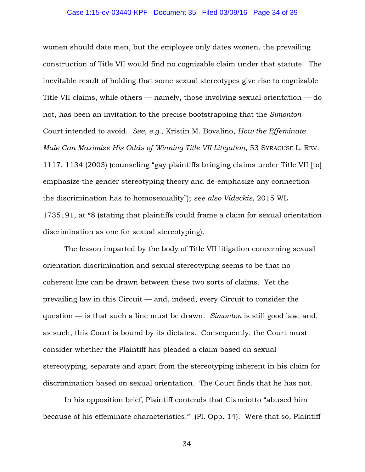### Case 1:15-cv-03440-KPF Document 35 Filed 03/09/16 Page 34 of 39

women should date men, but the employee only dates women, the prevailing construction of Title VII would find no cognizable claim under that statute. The inevitable result of holding that some sexual stereotypes give rise to cognizable Title VII claims, while others — namely, those involving sexual orientation — do not, has been an invitation to the precise bootstrapping that the *Simonton* Court intended to avoid. *See*, *e.g.*, Kristin M. Bovalino, *How the Effeminate Male Can Maximize His Odds of Winning Title VII Litigation*, 53 SYRACUSE L. REV. 1117, 1134 (2003) (counseling "gay plaintiffs bringing claims under Title VII [to] emphasize the gender stereotyping theory and de-emphasize any connection the discrimination has to homosexuality"); *see also Videckis,* 2015 WL 1735191, at \*8 (stating that plaintiffs could frame a claim for sexual orientation discrimination as one for sexual stereotyping).

The lesson imparted by the body of Title VII litigation concerning sexual orientation discrimination and sexual stereotyping seems to be that no coherent line can be drawn between these two sorts of claims. Yet the prevailing law in this Circuit — and, indeed, every Circuit to consider the question — is that such a line must be drawn. *Simonton* is still good law, and, as such, this Court is bound by its dictates. Consequently, the Court must consider whether the Plaintiff has pleaded a claim based on sexual stereotyping, separate and apart from the stereotyping inherent in his claim for discrimination based on sexual orientation. The Court finds that he has not.

In his opposition brief, Plaintiff contends that Cianciotto "abused him because of his effeminate characteristics." (Pl. Opp. 14). Were that so, Plaintiff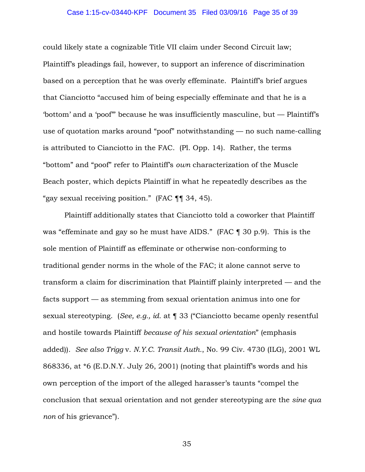### Case 1:15-cv-03440-KPF Document 35 Filed 03/09/16 Page 35 of 39

could likely state a cognizable Title VII claim under Second Circuit law; Plaintiff's pleadings fail, however, to support an inference of discrimination based on a perception that he was overly effeminate. Plaintiff's brief argues that Cianciotto "accused him of being especially effeminate and that he is a 'bottom' and a 'poof'" because he was insufficiently masculine, but — Plaintiff's use of quotation marks around "poof" notwithstanding — no such name-calling is attributed to Cianciotto in the FAC. (Pl. Opp. 14). Rather, the terms "bottom" and "poof" refer to Plaintiff's *own* characterization of the Muscle Beach poster, which depicts Plaintiff in what he repeatedly describes as the "gay sexual receiving position." (FAC ¶¶ 34, 45).

Plaintiff additionally states that Cianciotto told a coworker that Plaintiff was "effeminate and gay so he must have AIDS." (FAC ¶ 30 p.9). This is the sole mention of Plaintiff as effeminate or otherwise non-conforming to traditional gender norms in the whole of the FAC; it alone cannot serve to transform a claim for discrimination that Plaintiff plainly interpreted — and the facts support — as stemming from sexual orientation animus into one for sexual stereotyping. (*See, e.g., id.* at ¶ 33 ("Cianciotto became openly resentful and hostile towards Plaintiff *because of his sexual orientation*" (emphasis added)). *See also Trigg* v. *N.Y.C. Transit Auth.*, No. 99 Civ. 4730 (ILG), 2001 WL 868336, at \*6 (E.D.N.Y. July 26, 2001) (noting that plaintiff's words and his own perception of the import of the alleged harasser's taunts "compel the conclusion that sexual orientation and not gender stereotyping are the *sine qua non* of his grievance").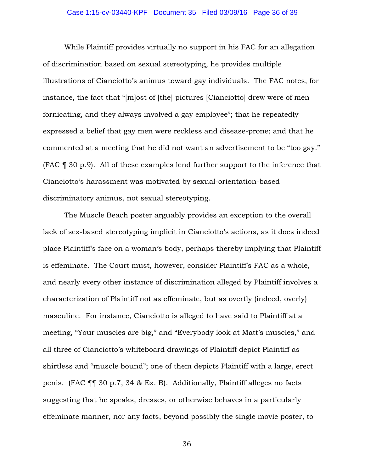### Case 1:15-cv-03440-KPF Document 35 Filed 03/09/16 Page 36 of 39

While Plaintiff provides virtually no support in his FAC for an allegation of discrimination based on sexual stereotyping, he provides multiple illustrations of Cianciotto's animus toward gay individuals. The FAC notes, for instance, the fact that "[m]ost of [the] pictures [Cianciotto] drew were of men fornicating, and they always involved a gay employee"; that he repeatedly expressed a belief that gay men were reckless and disease-prone; and that he commented at a meeting that he did not want an advertisement to be "too gay." (FAC ¶ 30 p.9). All of these examples lend further support to the inference that Cianciotto's harassment was motivated by sexual-orientation-based discriminatory animus, not sexual stereotyping.

The Muscle Beach poster arguably provides an exception to the overall lack of sex-based stereotyping implicit in Cianciotto's actions, as it does indeed place Plaintiff's face on a woman's body, perhaps thereby implying that Plaintiff is effeminate. The Court must, however, consider Plaintiff's FAC as a whole, and nearly every other instance of discrimination alleged by Plaintiff involves a characterization of Plaintiff not as effeminate, but as overtly (indeed, overly) masculine. For instance, Cianciotto is alleged to have said to Plaintiff at a meeting, "Your muscles are big," and "Everybody look at Matt's muscles," and all three of Cianciotto's whiteboard drawings of Plaintiff depict Plaintiff as shirtless and "muscle bound"; one of them depicts Plaintiff with a large, erect penis. (FAC ¶¶ 30 p.7, 34 & Ex. B). Additionally, Plaintiff alleges no facts suggesting that he speaks, dresses, or otherwise behaves in a particularly effeminate manner, nor any facts, beyond possibly the single movie poster, to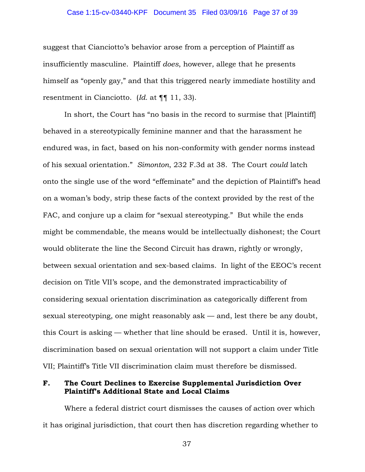### Case 1:15-cv-03440-KPF Document 35 Filed 03/09/16 Page 37 of 39

suggest that Cianciotto's behavior arose from a perception of Plaintiff as insufficiently masculine. Plaintiff *does*, however, allege that he presents himself as "openly gay," and that this triggered nearly immediate hostility and resentment in Cianciotto. (*Id.* at ¶¶ 11, 33).

In short, the Court has "no basis in the record to surmise that [Plaintiff] behaved in a stereotypically feminine manner and that the harassment he endured was, in fact, based on his non-conformity with gender norms instead of his sexual orientation." *Simonton*, 232 F.3d at 38. The Court *could* latch onto the single use of the word "effeminate" and the depiction of Plaintiff's head on a woman's body, strip these facts of the context provided by the rest of the FAC, and conjure up a claim for "sexual stereotyping." But while the ends might be commendable, the means would be intellectually dishonest; the Court would obliterate the line the Second Circuit has drawn, rightly or wrongly, between sexual orientation and sex-based claims. In light of the EEOC's recent decision on Title VII's scope, and the demonstrated impracticability of considering sexual orientation discrimination as categorically different from sexual stereotyping, one might reasonably ask — and, lest there be any doubt, this Court is asking — whether that line should be erased. Until it is, however, discrimination based on sexual orientation will not support a claim under Title VII; Plaintiff's Title VII discrimination claim must therefore be dismissed.

## **F. The Court Declines to Exercise Supplemental Jurisdiction Over Plaintiff's Additional State and Local Claims**

Where a federal district court dismisses the causes of action over which it has original jurisdiction, that court then has discretion regarding whether to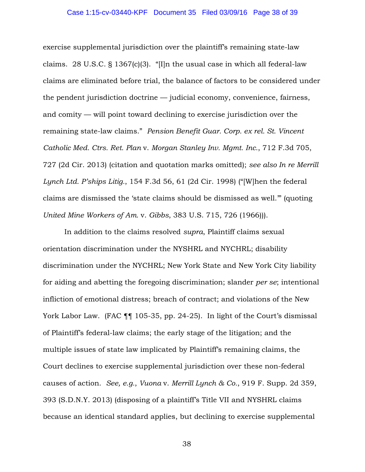exercise supplemental jurisdiction over the plaintiff's remaining state-law claims. 28 U.S.C. § 1367(c)(3). "[I]n the usual case in which all federal-law claims are eliminated before trial, the balance of factors to be considered under the pendent jurisdiction doctrine — judicial economy, convenience, fairness, and comity — will point toward declining to exercise jurisdiction over the remaining state-law claims." *Pension Benefit Guar. Corp. ex rel. St. Vincent Catholic Med. Ctrs. Ret. Plan* v. *Morgan Stanley Inv. Mgmt. Inc.*, 712 F.3d 705, 727 (2d Cir. 2013) (citation and quotation marks omitted); *see also In re Merrill Lynch Ltd. P'ships Litig.*, 154 F.3d 56, 61 (2d Cir. 1998) ("[W]hen the federal claims are dismissed the 'state claims should be dismissed as well.'" (quoting *United Mine Workers of Am.* v. *Gibbs*, 383 U.S. 715, 726 (1966))).

In addition to the claims resolved *supra*, Plaintiff claims sexual orientation discrimination under the NYSHRL and NYCHRL; disability discrimination under the NYCHRL; New York State and New York City liability for aiding and abetting the foregoing discrimination; slander *per se*; intentional infliction of emotional distress; breach of contract; and violations of the New York Labor Law. (FAC ¶¶ 105-35, pp. 24-25). In light of the Court's dismissal of Plaintiff's federal-law claims; the early stage of the litigation; and the multiple issues of state law implicated by Plaintiff's remaining claims, the Court declines to exercise supplemental jurisdiction over these non-federal causes of action. *See, e.g.*, *Vuona* v. *Merrill Lynch & Co.*, 919 F. Supp. 2d 359, 393 (S.D.N.Y. 2013) (disposing of a plaintiff's Title VII and NYSHRL claims because an identical standard applies, but declining to exercise supplemental